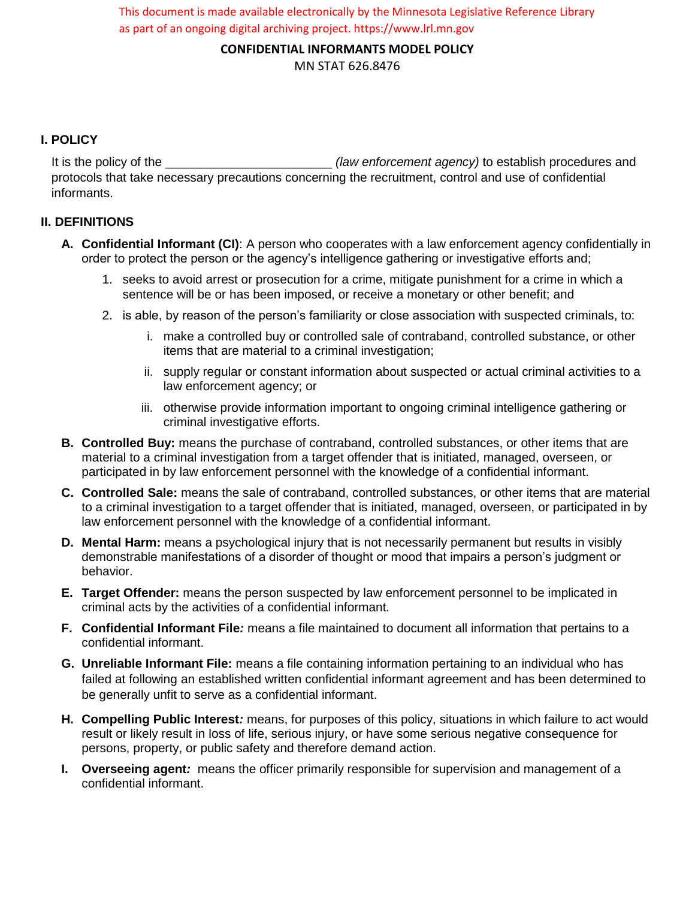This document is made available electronically by the Minnesota Legislative Reference Library as part of an ongoing digital archiving project. https://www.lrl.mn.gov

**CONFIDENTIAL INFORMANTS MODEL POLICY**

MN STAT 626.8476

## **I. POLICY**

It is the policy of the \_\_\_\_\_\_\_\_\_\_\_\_\_\_\_\_\_\_\_\_\_\_\_\_ *(law enforcement agency)* to establish procedures and protocols that take necessary precautions concerning the recruitment, control and use of confidential informants.

## **II. DEFINITIONS**

- **A. Confidential Informant (CI)**: A person who cooperates with a law enforcement agency confidentially in order to protect the person or the agency's intelligence gathering or investigative efforts and;
	- 1. seeks to avoid arrest or prosecution for a crime, mitigate punishment for a crime in which a sentence will be or has been imposed, or receive a monetary or other benefit; and
	- 2. is able, by reason of the person's familiarity or close association with suspected criminals, to:
		- i. make a controlled buy or controlled sale of contraband, controlled substance, or other items that are material to a criminal investigation;
		- ii. supply regular or constant information about suspected or actual criminal activities to a law enforcement agency; or
		- iii. otherwise provide information important to ongoing criminal intelligence gathering or criminal investigative efforts.
- **B. Controlled Buy:** means the purchase of contraband, controlled substances, or other items that are material to a criminal investigation from a target offender that is initiated, managed, overseen, or participated in by law enforcement personnel with the knowledge of a confidential informant.
- **C. Controlled Sale:** means the sale of contraband, controlled substances, or other items that are material to a criminal investigation to a target offender that is initiated, managed, overseen, or participated in by law enforcement personnel with the knowledge of a confidential informant.
- **D. Mental Harm:** means a psychological injury that is not necessarily permanent but results in visibly demonstrable manifestations of a disorder of thought or mood that impairs a person's judgment or behavior.
- **E. Target Offender:** means the person suspected by law enforcement personnel to be implicated in criminal acts by the activities of a confidential informant.
- **F. Confidential Informant File***:* means a file maintained to document all information that pertains to a confidential informant.
- **G. Unreliable Informant File:** means a file containing information pertaining to an individual who has failed at following an established written confidential informant agreement and has been determined to be generally unfit to serve as a confidential informant.
- **H. Compelling Public Interest***:* means, for purposes of this policy, situations in which failure to act would result or likely result in loss of life, serious injury, or have some serious negative consequence for persons, property, or public safety and therefore demand action.
- **I. Overseeing agent***:* means the officer primarily responsible for supervision and management of a confidential informant.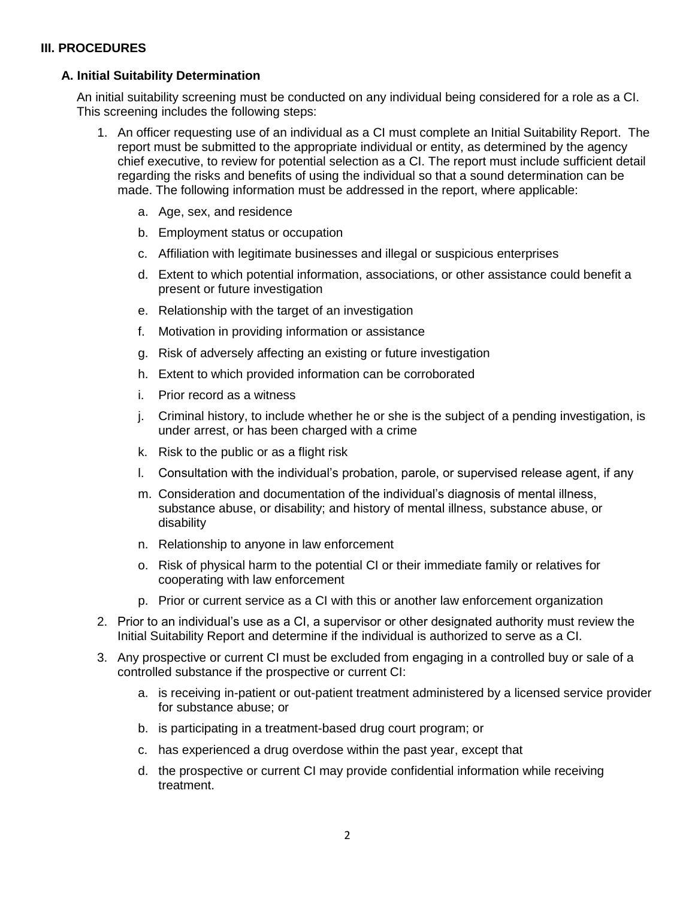#### **III. PROCEDURES**

#### **A. Initial Suitability Determination**

An initial suitability screening must be conducted on any individual being considered for a role as a CI. This screening includes the following steps:

- 1. An officer requesting use of an individual as a CI must complete an Initial Suitability Report. The report must be submitted to the appropriate individual or entity, as determined by the agency chief executive, to review for potential selection as a CI. The report must include sufficient detail regarding the risks and benefits of using the individual so that a sound determination can be made. The following information must be addressed in the report, where applicable:
	- a. Age, sex, and residence
	- b. Employment status or occupation
	- c. Affiliation with legitimate businesses and illegal or suspicious enterprises
	- d. Extent to which potential information, associations, or other assistance could benefit a present or future investigation
	- e. Relationship with the target of an investigation
	- f. Motivation in providing information or assistance
	- g. Risk of adversely affecting an existing or future investigation
	- h. Extent to which provided information can be corroborated
	- i. Prior record as a witness
	- j. Criminal history, to include whether he or she is the subject of a pending investigation, is under arrest, or has been charged with a crime
	- k. Risk to the public or as a flight risk
	- l. Consultation with the individual's probation, parole, or supervised release agent, if any
	- m. Consideration and documentation of the individual's diagnosis of mental illness, substance abuse, or disability; and history of mental illness, substance abuse, or disability
	- n. Relationship to anyone in law enforcement
	- o. Risk of physical harm to the potential CI or their immediate family or relatives for cooperating with law enforcement
	- p. Prior or current service as a CI with this or another law enforcement organization
- 2. Prior to an individual's use as a CI, a supervisor or other designated authority must review the Initial Suitability Report and determine if the individual is authorized to serve as a CI.
- 3. Any prospective or current CI must be excluded from engaging in a controlled buy or sale of a controlled substance if the prospective or current CI:
	- a. is receiving in-patient or out-patient treatment administered by a licensed service provider for substance abuse; or
	- b. is participating in a treatment-based drug court program; or
	- c. has experienced a drug overdose within the past year, except that
	- d. the prospective or current CI may provide confidential information while receiving treatment.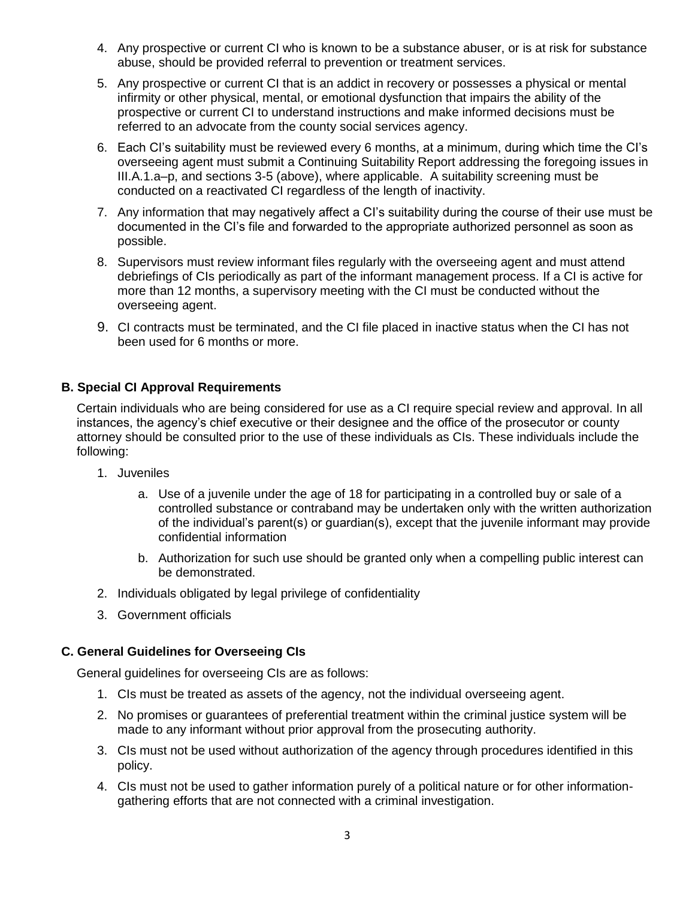- 4. Any prospective or current CI who is known to be a substance abuser, or is at risk for substance abuse, should be provided referral to prevention or treatment services.
- 5. Any prospective or current CI that is an addict in recovery or possesses a physical or mental infirmity or other physical, mental, or emotional dysfunction that impairs the ability of the prospective or current CI to understand instructions and make informed decisions must be referred to an advocate from the county social services agency.
- 6. Each CI's suitability must be reviewed every 6 months, at a minimum, during which time the CI's overseeing agent must submit a Continuing Suitability Report addressing the foregoing issues in III.A.1.a–p, and sections 3-5 (above), where applicable. A suitability screening must be conducted on a reactivated CI regardless of the length of inactivity.
- 7. Any information that may negatively affect a CI's suitability during the course of their use must be documented in the CI's file and forwarded to the appropriate authorized personnel as soon as possible.
- 8. Supervisors must review informant files regularly with the overseeing agent and must attend debriefings of CIs periodically as part of the informant management process. If a CI is active for more than 12 months, a supervisory meeting with the CI must be conducted without the overseeing agent.
- 9. CI contracts must be terminated, and the CI file placed in inactive status when the CI has not been used for 6 months or more.

# **B. Special CI Approval Requirements**

Certain individuals who are being considered for use as a CI require special review and approval. In all instances, the agency's chief executive or their designee and the office of the prosecutor or county attorney should be consulted prior to the use of these individuals as CIs. These individuals include the following:

- 1. Juveniles
	- a. Use of a juvenile under the age of 18 for participating in a controlled buy or sale of a controlled substance or contraband may be undertaken only with the written authorization of the individual's parent(s) or guardian(s), except that the juvenile informant may provide confidential information
	- b. Authorization for such use should be granted only when a compelling public interest can be demonstrated.
- 2. Individuals obligated by legal privilege of confidentiality
- 3. Government officials

# **C. General Guidelines for Overseeing CIs**

General guidelines for overseeing CIs are as follows:

- 1. CIs must be treated as assets of the agency, not the individual overseeing agent.
- 2. No promises or guarantees of preferential treatment within the criminal justice system will be made to any informant without prior approval from the prosecuting authority.
- 3. CIs must not be used without authorization of the agency through procedures identified in this policy.
- 4. CIs must not be used to gather information purely of a political nature or for other informationgathering efforts that are not connected with a criminal investigation.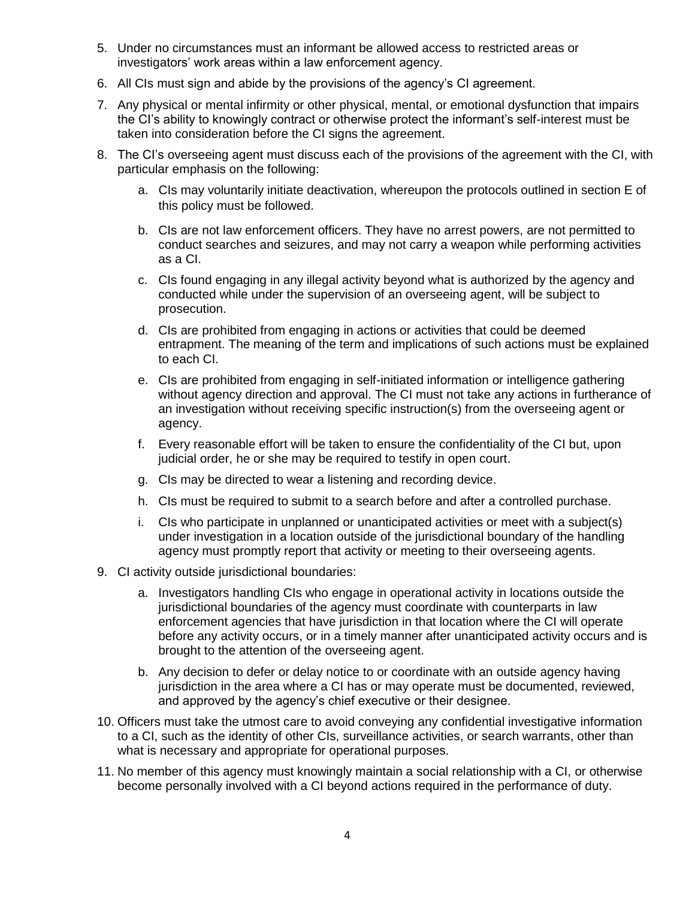- 5. Under no circumstances must an informant be allowed access to restricted areas or investigators' work areas within a law enforcement agency.
- 6. All CIs must sign and abide by the provisions of the agency's CI agreement.
- 7. Any physical or mental infirmity or other physical, mental, or emotional dysfunction that impairs the CI's ability to knowingly contract or otherwise protect the informant's self-interest must be taken into consideration before the CI signs the agreement.
- 8. The CI's overseeing agent must discuss each of the provisions of the agreement with the CI, with particular emphasis on the following:
	- a. CIs may voluntarily initiate deactivation, whereupon the protocols outlined in section E of this policy must be followed.
	- b. CIs are not law enforcement officers. They have no arrest powers, are not permitted to conduct searches and seizures, and may not carry a weapon while performing activities as a CI.
	- c. CIs found engaging in any illegal activity beyond what is authorized by the agency and conducted while under the supervision of an overseeing agent, will be subject to prosecution.
	- d. CIs are prohibited from engaging in actions or activities that could be deemed entrapment. The meaning of the term and implications of such actions must be explained to each CI.
	- e. CIs are prohibited from engaging in self-initiated information or intelligence gathering without agency direction and approval. The CI must not take any actions in furtherance of an investigation without receiving specific instruction(s) from the overseeing agent or agency.
	- f. Every reasonable effort will be taken to ensure the confidentiality of the CI but, upon judicial order, he or she may be required to testify in open court.
	- g. CIs may be directed to wear a listening and recording device.
	- h. CIs must be required to submit to a search before and after a controlled purchase.
	- i. CIs who participate in unplanned or unanticipated activities or meet with a subject(s) under investigation in a location outside of the jurisdictional boundary of the handling agency must promptly report that activity or meeting to their overseeing agents.
- 9. CI activity outside jurisdictional boundaries:
	- a. Investigators handling CIs who engage in operational activity in locations outside the jurisdictional boundaries of the agency must coordinate with counterparts in law enforcement agencies that have jurisdiction in that location where the CI will operate before any activity occurs, or in a timely manner after unanticipated activity occurs and is brought to the attention of the overseeing agent.
	- b. Any decision to defer or delay notice to or coordinate with an outside agency having jurisdiction in the area where a CI has or may operate must be documented, reviewed, and approved by the agency's chief executive or their designee.
- 10. Officers must take the utmost care to avoid conveying any confidential investigative information to a CI, such as the identity of other CIs, surveillance activities, or search warrants, other than what is necessary and appropriate for operational purposes.
- 11. No member of this agency must knowingly maintain a social relationship with a CI, or otherwise become personally involved with a CI beyond actions required in the performance of duty.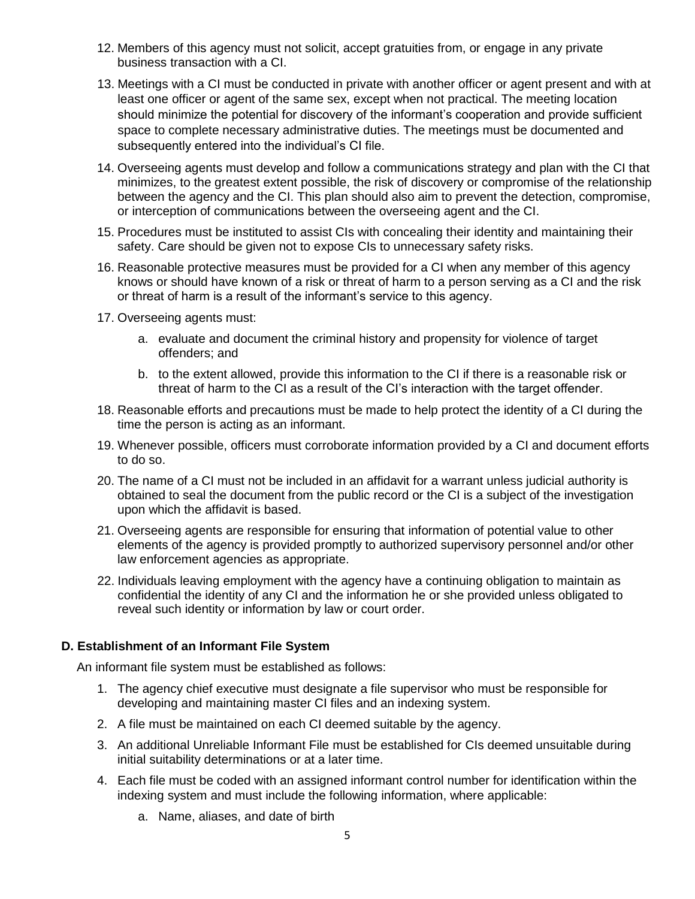- 12. Members of this agency must not solicit, accept gratuities from, or engage in any private business transaction with a CI.
- 13. Meetings with a CI must be conducted in private with another officer or agent present and with at least one officer or agent of the same sex, except when not practical. The meeting location should minimize the potential for discovery of the informant's cooperation and provide sufficient space to complete necessary administrative duties. The meetings must be documented and subsequently entered into the individual's CI file.
- 14. Overseeing agents must develop and follow a communications strategy and plan with the CI that minimizes, to the greatest extent possible, the risk of discovery or compromise of the relationship between the agency and the CI. This plan should also aim to prevent the detection, compromise, or interception of communications between the overseeing agent and the CI.
- 15. Procedures must be instituted to assist CIs with concealing their identity and maintaining their safety. Care should be given not to expose CIs to unnecessary safety risks.
- 16. Reasonable protective measures must be provided for a CI when any member of this agency knows or should have known of a risk or threat of harm to a person serving as a CI and the risk or threat of harm is a result of the informant's service to this agency.
- 17. Overseeing agents must:
	- a. evaluate and document the criminal history and propensity for violence of target offenders; and
	- b. to the extent allowed, provide this information to the CI if there is a reasonable risk or threat of harm to the CI as a result of the CI's interaction with the target offender.
- 18. Reasonable efforts and precautions must be made to help protect the identity of a CI during the time the person is acting as an informant.
- 19. Whenever possible, officers must corroborate information provided by a CI and document efforts to do so.
- 20. The name of a CI must not be included in an affidavit for a warrant unless judicial authority is obtained to seal the document from the public record or the CI is a subject of the investigation upon which the affidavit is based.
- 21. Overseeing agents are responsible for ensuring that information of potential value to other elements of the agency is provided promptly to authorized supervisory personnel and/or other law enforcement agencies as appropriate.
- 22. Individuals leaving employment with the agency have a continuing obligation to maintain as confidential the identity of any CI and the information he or she provided unless obligated to reveal such identity or information by law or court order.

### **D. Establishment of an Informant File System**

An informant file system must be established as follows:

- 1. The agency chief executive must designate a file supervisor who must be responsible for developing and maintaining master CI files and an indexing system.
- 2. A file must be maintained on each CI deemed suitable by the agency.
- 3. An additional Unreliable Informant File must be established for CIs deemed unsuitable during initial suitability determinations or at a later time.
- 4. Each file must be coded with an assigned informant control number for identification within the indexing system and must include the following information, where applicable:
	- a. Name, aliases, and date of birth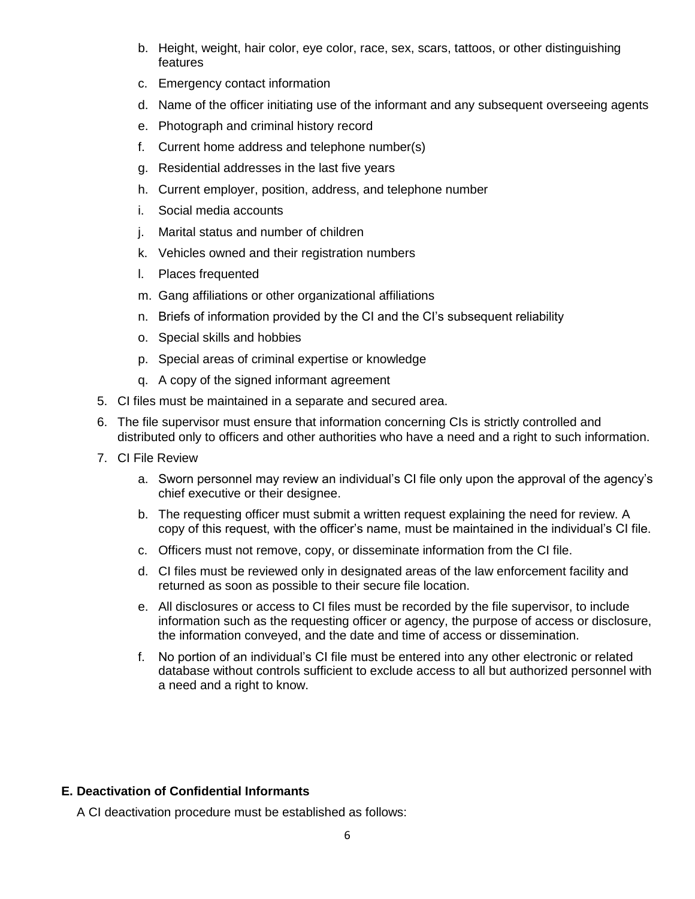- b. Height, weight, hair color, eye color, race, sex, scars, tattoos, or other distinguishing features
- c. Emergency contact information
- d. Name of the officer initiating use of the informant and any subsequent overseeing agents
- e. Photograph and criminal history record
- f. Current home address and telephone number(s)
- g. Residential addresses in the last five years
- h. Current employer, position, address, and telephone number
- i. Social media accounts
- j. Marital status and number of children
- k. Vehicles owned and their registration numbers
- l. Places frequented
- m. Gang affiliations or other organizational affiliations
- n. Briefs of information provided by the CI and the CI's subsequent reliability
- o. Special skills and hobbies
- p. Special areas of criminal expertise or knowledge
- q. A copy of the signed informant agreement
- 5. CI files must be maintained in a separate and secured area.
- 6. The file supervisor must ensure that information concerning CIs is strictly controlled and distributed only to officers and other authorities who have a need and a right to such information.
- 7. CI File Review
	- a. Sworn personnel may review an individual's CI file only upon the approval of the agency's chief executive or their designee.
	- b. The requesting officer must submit a written request explaining the need for review. A copy of this request, with the officer's name, must be maintained in the individual's CI file.
	- c. Officers must not remove, copy, or disseminate information from the CI file.
	- d. CI files must be reviewed only in designated areas of the law enforcement facility and returned as soon as possible to their secure file location.
	- e. All disclosures or access to CI files must be recorded by the file supervisor, to include information such as the requesting officer or agency, the purpose of access or disclosure, the information conveyed, and the date and time of access or dissemination.
	- f. No portion of an individual's CI file must be entered into any other electronic or related database without controls sufficient to exclude access to all but authorized personnel with a need and a right to know.

### **E. Deactivation of Confidential Informants**

A CI deactivation procedure must be established as follows: